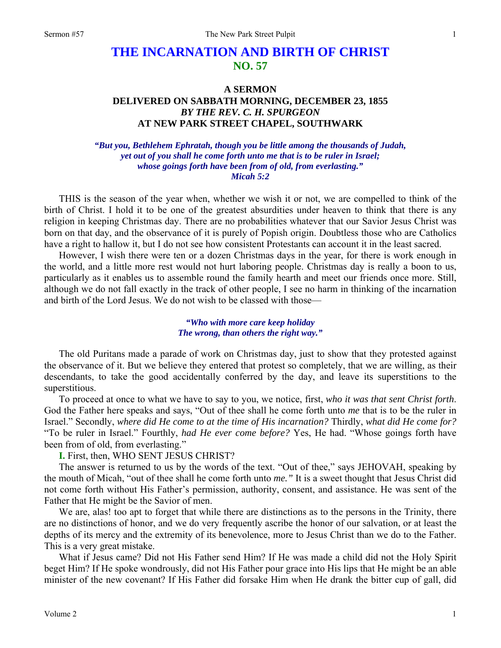# **THE INCARNATION AND BIRTH OF CHRIST NO. 57**

# **A SERMON DELIVERED ON SABBATH MORNING, DECEMBER 23, 1855**  *BY THE REV. C. H. SPURGEON*  **AT NEW PARK STREET CHAPEL, SOUTHWARK**

*"But you, Bethlehem Ephratah, though you be little among the thousands of Judah, yet out of you shall he come forth unto me that is to be ruler in Israel; whose goings forth have been from of old, from everlasting." Micah 5:2*

THIS is the season of the year when, whether we wish it or not, we are compelled to think of the birth of Christ. I hold it to be one of the greatest absurdities under heaven to think that there is any religion in keeping Christmas day. There are no probabilities whatever that our Savior Jesus Christ was born on that day, and the observance of it is purely of Popish origin. Doubtless those who are Catholics have a right to hallow it, but I do not see how consistent Protestants can account it in the least sacred.

However, I wish there were ten or a dozen Christmas days in the year, for there is work enough in the world, and a little more rest would not hurt laboring people. Christmas day is really a boon to us, particularly as it enables us to assemble round the family hearth and meet our friends once more. Still, although we do not fall exactly in the track of other people, I see no harm in thinking of the incarnation and birth of the Lord Jesus. We do not wish to be classed with those—

> *"Who with more care keep holiday The wrong, than others the right way."*

The old Puritans made a parade of work on Christmas day, just to show that they protested against the observance of it. But we believe they entered that protest so completely, that we are willing, as their descendants, to take the good accidentally conferred by the day, and leave its superstitions to the superstitious.

To proceed at once to what we have to say to you, we notice, first, *who it was that sent Christ forth*. God the Father here speaks and says, "Out of thee shall he come forth unto *me* that is to be the ruler in Israel." Secondly, *where did He come to at the time of His incarnation?* Thirdly, *what did He come for?*  "To be ruler in Israel." Fourthly, *had He ever come before?* Yes, He had. "Whose goings forth have been from of old, from everlasting."

**I.** First, then, WHO SENT JESUS CHRIST?

The answer is returned to us by the words of the text. "Out of thee," says JEHOVAH, speaking by the mouth of Micah, "out of thee shall he come forth unto *me."* It is a sweet thought that Jesus Christ did not come forth without His Father's permission, authority, consent, and assistance. He was sent of the Father that He might be the Savior of men.

We are, alas! too apt to forget that while there are distinctions as to the persons in the Trinity, there are no distinctions of honor, and we do very frequently ascribe the honor of our salvation, or at least the depths of its mercy and the extremity of its benevolence, more to Jesus Christ than we do to the Father. This is a very great mistake.

What if Jesus came? Did not His Father send Him? If He was made a child did not the Holy Spirit beget Him? If He spoke wondrously, did not His Father pour grace into His lips that He might be an able minister of the new covenant? If His Father did forsake Him when He drank the bitter cup of gall, did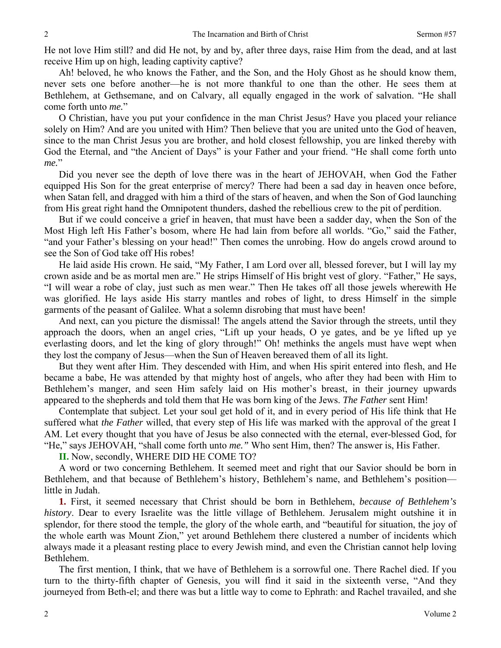He not love Him still? and did He not, by and by, after three days, raise Him from the dead, and at last receive Him up on high, leading captivity captive?

Ah! beloved, he who knows the Father, and the Son, and the Holy Ghost as he should know them, never sets one before another—he is not more thankful to one than the other. He sees them at Bethlehem, at Gethsemane, and on Calvary, all equally engaged in the work of salvation. "He shall come forth unto *me.*"

O Christian, have you put your confidence in the man Christ Jesus? Have you placed your reliance solely on Him? And are you united with Him? Then believe that you are united unto the God of heaven, since to the man Christ Jesus you are brother, and hold closest fellowship, you are linked thereby with God the Eternal, and "the Ancient of Days" is your Father and your friend. "He shall come forth unto *me.*"

Did you never see the depth of love there was in the heart of JEHOVAH, when God the Father equipped His Son for the great enterprise of mercy? There had been a sad day in heaven once before, when Satan fell, and dragged with him a third of the stars of heaven, and when the Son of God launching from His great right hand the Omnipotent thunders, dashed the rebellious crew to the pit of perdition.

But if we could conceive a grief in heaven, that must have been a sadder day, when the Son of the Most High left His Father's bosom, where He had lain from before all worlds. "Go," said the Father, "and your Father's blessing on your head!" Then comes the unrobing. How do angels crowd around to see the Son of God take off His robes!

He laid aside His crown. He said, "My Father, I am Lord over all, blessed forever, but I will lay my crown aside and be as mortal men are." He strips Himself of His bright vest of glory. "Father," He says, "I will wear a robe of clay, just such as men wear." Then He takes off all those jewels wherewith He was glorified. He lays aside His starry mantles and robes of light, to dress Himself in the simple garments of the peasant of Galilee. What a solemn disrobing that must have been!

And next, can you picture the dismissal! The angels attend the Savior through the streets, until they approach the doors, when an angel cries, "Lift up your heads, O ye gates, and be ye lifted up ye everlasting doors, and let the king of glory through!" Oh! methinks the angels must have wept when they lost the company of Jesus—when the Sun of Heaven bereaved them of all its light.

But they went after Him. They descended with Him, and when His spirit entered into flesh, and He became a babe, He was attended by that mighty host of angels, who after they had been with Him to Bethlehem's manger, and seen Him safely laid on His mother's breast, in their journey upwards appeared to the shepherds and told them that He was born king of the Jews. *The Father* sent Him!

Contemplate that subject. Let your soul get hold of it, and in every period of His life think that He suffered what *the Father* willed, that every step of His life was marked with the approval of the great I AM. Let every thought that you have of Jesus be also connected with the eternal, ever-blessed God, for "He," says JEHOVAH, "shall come forth unto *me."* Who sent Him, then? The answer is, His Father.

**II.** Now, secondly, WHERE DID HE COME TO?

A word or two concerning Bethlehem. It seemed meet and right that our Savior should be born in Bethlehem, and that because of Bethlehem's history, Bethlehem's name, and Bethlehem's position little in Judah.

**1.** First, it seemed necessary that Christ should be born in Bethlehem, *because of Bethlehem's history*. Dear to every Israelite was the little village of Bethlehem. Jerusalem might outshine it in splendor, for there stood the temple, the glory of the whole earth, and "beautiful for situation, the joy of the whole earth was Mount Zion," yet around Bethlehem there clustered a number of incidents which always made it a pleasant resting place to every Jewish mind, and even the Christian cannot help loving Bethlehem.

The first mention, I think, that we have of Bethlehem is a sorrowful one. There Rachel died. If you turn to the thirty-fifth chapter of Genesis, you will find it said in the sixteenth verse, "And they journeyed from Beth-el; and there was but a little way to come to Ephrath: and Rachel travailed, and she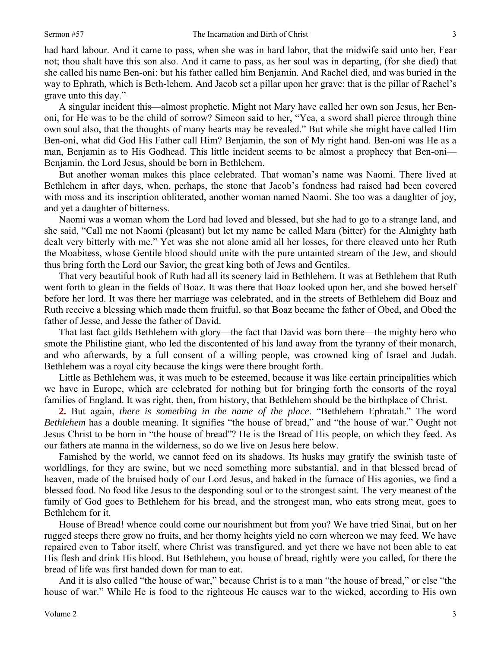had hard labour. And it came to pass, when she was in hard labor, that the midwife said unto her, Fear not; thou shalt have this son also. And it came to pass, as her soul was in departing, (for she died) that she called his name Ben-oni: but his father called him Benjamin. And Rachel died, and was buried in the way to Ephrath, which is Beth-lehem. And Jacob set a pillar upon her grave: that is the pillar of Rachel's grave unto this day."

A singular incident this—almost prophetic. Might not Mary have called her own son Jesus, her Benoni, for He was to be the child of sorrow? Simeon said to her, "Yea, a sword shall pierce through thine own soul also, that the thoughts of many hearts may be revealed." But while she might have called Him Ben-oni, what did God His Father call Him? Benjamin, the son of My right hand. Ben-oni was He as a man, Benjamin as to His Godhead. This little incident seems to be almost a prophecy that Ben-oni— Benjamin, the Lord Jesus, should be born in Bethlehem.

But another woman makes this place celebrated. That woman's name was Naomi. There lived at Bethlehem in after days, when, perhaps, the stone that Jacob's fondness had raised had been covered with moss and its inscription obliterated, another woman named Naomi. She too was a daughter of joy, and yet a daughter of bitterness.

Naomi was a woman whom the Lord had loved and blessed, but she had to go to a strange land, and she said, "Call me not Naomi (pleasant) but let my name be called Mara (bitter) for the Almighty hath dealt very bitterly with me." Yet was she not alone amid all her losses, for there cleaved unto her Ruth the Moabitess, whose Gentile blood should unite with the pure untainted stream of the Jew, and should thus bring forth the Lord our Savior, the great king both of Jews and Gentiles.

That very beautiful book of Ruth had all its scenery laid in Bethlehem. It was at Bethlehem that Ruth went forth to glean in the fields of Boaz. It was there that Boaz looked upon her, and she bowed herself before her lord. It was there her marriage was celebrated, and in the streets of Bethlehem did Boaz and Ruth receive a blessing which made them fruitful, so that Boaz became the father of Obed, and Obed the father of Jesse, and Jesse the father of David.

That last fact gilds Bethlehem with glory—the fact that David was born there—the mighty hero who smote the Philistine giant, who led the discontented of his land away from the tyranny of their monarch, and who afterwards, by a full consent of a willing people, was crowned king of Israel and Judah. Bethlehem was a royal city because the kings were there brought forth.

Little as Bethlehem was, it was much to be esteemed, because it was like certain principalities which we have in Europe, which are celebrated for nothing but for bringing forth the consorts of the royal families of England. It was right, then, from history, that Bethlehem should be the birthplace of Christ.

**2.** But again, *there is something in the name of the place*. "Bethlehem Ephratah." The word *Bethlehem* has a double meaning. It signifies "the house of bread," and "the house of war." Ought not Jesus Christ to be born in "the house of bread"? He is the Bread of His people, on which they feed. As our fathers ate manna in the wilderness, so do we live on Jesus here below.

Famished by the world, we cannot feed on its shadows. Its husks may gratify the swinish taste of worldlings, for they are swine, but we need something more substantial, and in that blessed bread of heaven, made of the bruised body of our Lord Jesus, and baked in the furnace of His agonies, we find a blessed food. No food like Jesus to the desponding soul or to the strongest saint. The very meanest of the family of God goes to Bethlehem for his bread, and the strongest man, who eats strong meat, goes to Bethlehem for it.

House of Bread! whence could come our nourishment but from you? We have tried Sinai, but on her rugged steeps there grow no fruits, and her thorny heights yield no corn whereon we may feed. We have repaired even to Tabor itself, where Christ was transfigured, and yet there we have not been able to eat His flesh and drink His blood. But Bethlehem, you house of bread, rightly were you called, for there the bread of life was first handed down for man to eat.

And it is also called "the house of war," because Christ is to a man "the house of bread," or else "the house of war." While He is food to the righteous He causes war to the wicked, according to His own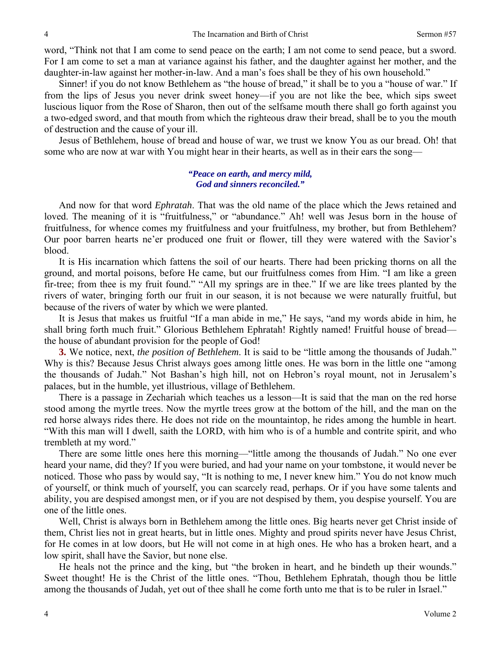word, "Think not that I am come to send peace on the earth; I am not come to send peace, but a sword. For I am come to set a man at variance against his father, and the daughter against her mother, and the daughter-in-law against her mother-in-law. And a man's foes shall be they of his own household."

Sinner! if you do not know Bethlehem as "the house of bread," it shall be to you a "house of war." If from the lips of Jesus you never drink sweet honey—if you are not like the bee, which sips sweet luscious liquor from the Rose of Sharon, then out of the selfsame mouth there shall go forth against you a two-edged sword, and that mouth from which the righteous draw their bread, shall be to you the mouth of destruction and the cause of your ill.

Jesus of Bethlehem, house of bread and house of war, we trust we know You as our bread. Oh! that some who are now at war with You might hear in their hearts, as well as in their ears the song—

### *"Peace on earth, and mercy mild, God and sinners reconciled."*

And now for that word *Ephratah*. That was the old name of the place which the Jews retained and loved. The meaning of it is "fruitfulness," or "abundance." Ah! well was Jesus born in the house of fruitfulness, for whence comes my fruitfulness and your fruitfulness, my brother, but from Bethlehem? Our poor barren hearts ne'er produced one fruit or flower, till they were watered with the Savior's blood.

It is His incarnation which fattens the soil of our hearts. There had been pricking thorns on all the ground, and mortal poisons, before He came, but our fruitfulness comes from Him. "I am like a green fir-tree; from thee is my fruit found." "All my springs are in thee." If we are like trees planted by the rivers of water, bringing forth our fruit in our season, it is not because we were naturally fruitful, but because of the rivers of water by which we were planted.

It is Jesus that makes us fruitful "If a man abide in me," He says, "and my words abide in him, he shall bring forth much fruit." Glorious Bethlehem Ephratah! Rightly named! Fruitful house of bread the house of abundant provision for the people of God!

**3.** We notice, next, *the position of Bethlehem*. It is said to be "little among the thousands of Judah." Why is this? Because Jesus Christ always goes among little ones. He was born in the little one "among the thousands of Judah." Not Bashan's high hill, not on Hebron's royal mount, not in Jerusalem's palaces, but in the humble, yet illustrious, village of Bethlehem.

There is a passage in Zechariah which teaches us a lesson—It is said that the man on the red horse stood among the myrtle trees. Now the myrtle trees grow at the bottom of the hill, and the man on the red horse always rides there. He does not ride on the mountaintop, he rides among the humble in heart. "With this man will I dwell, saith the LORD, with him who is of a humble and contrite spirit, and who trembleth at my word."

There are some little ones here this morning—"little among the thousands of Judah." No one ever heard your name, did they? If you were buried, and had your name on your tombstone, it would never be noticed. Those who pass by would say, "It is nothing to me, I never knew him." You do not know much of yourself, or think much of yourself, you can scarcely read, perhaps. Or if you have some talents and ability, you are despised amongst men, or if you are not despised by them, you despise yourself. You are one of the little ones.

Well, Christ is always born in Bethlehem among the little ones. Big hearts never get Christ inside of them, Christ lies not in great hearts, but in little ones. Mighty and proud spirits never have Jesus Christ, for He comes in at low doors, but He will not come in at high ones. He who has a broken heart, and a low spirit, shall have the Savior, but none else.

He heals not the prince and the king, but "the broken in heart, and he bindeth up their wounds." Sweet thought! He is the Christ of the little ones. "Thou, Bethlehem Ephratah, though thou be little among the thousands of Judah, yet out of thee shall he come forth unto me that is to be ruler in Israel."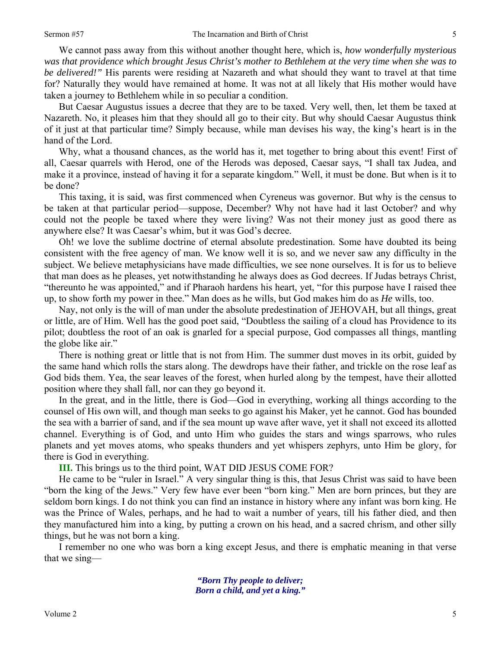We cannot pass away from this without another thought here, which is, *how wonderfully mysterious was that providence which brought Jesus Christ's mother to Bethlehem at the very time when she was to be delivered!"* His parents were residing at Nazareth and what should they want to travel at that time for? Naturally they would have remained at home. It was not at all likely that His mother would have taken a journey to Bethlehem while in so peculiar a condition.

But Caesar Augustus issues a decree that they are to be taxed. Very well, then, let them be taxed at Nazareth. No, it pleases him that they should all go to their city. But why should Caesar Augustus think of it just at that particular time? Simply because, while man devises his way, the king's heart is in the hand of the Lord.

Why, what a thousand chances, as the world has it, met together to bring about this event! First of all, Caesar quarrels with Herod, one of the Herods was deposed, Caesar says, "I shall tax Judea, and make it a province, instead of having it for a separate kingdom." Well, it must be done. But when is it to be done?

This taxing, it is said, was first commenced when Cyreneus was governor. But why is the census to be taken at that particular period—suppose, December? Why not have had it last October? and why could not the people be taxed where they were living? Was not their money just as good there as anywhere else? It was Caesar's whim, but it was God's decree.

Oh! we love the sublime doctrine of eternal absolute predestination. Some have doubted its being consistent with the free agency of man. We know well it is so, and we never saw any difficulty in the subject. We believe metaphysicians have made difficulties, we see none ourselves. It is for us to believe that man does as he pleases, yet notwithstanding he always does as God decrees. If Judas betrays Christ, "thereunto he was appointed," and if Pharaoh hardens his heart, yet, "for this purpose have I raised thee up, to show forth my power in thee." Man does as he wills, but God makes him do as *He* wills, too.

Nay, not only is the will of man under the absolute predestination of JEHOVAH, but all things, great or little, are of Him. Well has the good poet said, "Doubtless the sailing of a cloud has Providence to its pilot; doubtless the root of an oak is gnarled for a special purpose, God compasses all things, mantling the globe like air."

There is nothing great or little that is not from Him. The summer dust moves in its orbit, guided by the same hand which rolls the stars along. The dewdrops have their father, and trickle on the rose leaf as God bids them. Yea, the sear leaves of the forest, when hurled along by the tempest, have their allotted position where they shall fall, nor can they go beyond it.

In the great, and in the little, there is God—God in everything, working all things according to the counsel of His own will, and though man seeks to go against his Maker, yet he cannot. God has bounded the sea with a barrier of sand, and if the sea mount up wave after wave, yet it shall not exceed its allotted channel. Everything is of God, and unto Him who guides the stars and wings sparrows, who rules planets and yet moves atoms, who speaks thunders and yet whispers zephyrs, unto Him be glory, for there is God in everything.

**III.** This brings us to the third point, WAT DID JESUS COME FOR?

He came to be "ruler in Israel." A very singular thing is this, that Jesus Christ was said to have been "born the king of the Jews." Very few have ever been "born king." Men are born princes, but they are seldom born kings. I do not think you can find an instance in history where any infant was born king. He was the Prince of Wales, perhaps, and he had to wait a number of years, till his father died, and then they manufactured him into a king, by putting a crown on his head, and a sacred chrism, and other silly things, but he was not born a king.

I remember no one who was born a king except Jesus, and there is emphatic meaning in that verse that we sing—

> *"Born Thy people to deliver; Born a child, and yet a king."*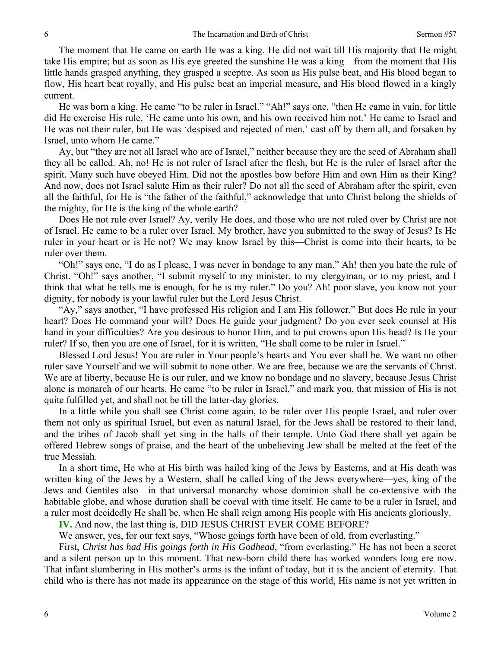The moment that He came on earth He was a king. He did not wait till His majority that He might take His empire; but as soon as His eye greeted the sunshine He was a king—from the moment that His little hands grasped anything, they grasped a sceptre. As soon as His pulse beat, and His blood began to flow, His heart beat royally, and His pulse beat an imperial measure, and His blood flowed in a kingly current.

He was born a king. He came "to be ruler in Israel." "Ah!" says one, "then He came in vain, for little did He exercise His rule, 'He came unto his own, and his own received him not.' He came to Israel and He was not their ruler, but He was 'despised and rejected of men,' cast off by them all, and forsaken by Israel, unto whom He came."

Ay, but "they are not all Israel who are of Israel," neither because they are the seed of Abraham shall they all be called. Ah, no! He is not ruler of Israel after the flesh, but He is the ruler of Israel after the spirit*.* Many such have obeyed Him. Did not the apostles bow before Him and own Him as their King? And now, does not Israel salute Him as their ruler? Do not all the seed of Abraham after the spirit, even all the faithful, for He is "the father of the faithful," acknowledge that unto Christ belong the shields of the mighty, for He is the king of the whole earth?

Does He not rule over Israel? Ay, verily He does, and those who are not ruled over by Christ are not of Israel. He came to be a ruler over Israel. My brother, have you submitted to the sway of Jesus? Is He ruler in your heart or is He not? We may know Israel by this—Christ is come into their hearts, to be ruler over them.

"Oh!" says one, "I do as I please, I was never in bondage to any man." Ah! then you hate the rule of Christ. "Oh!" says another, "I submit myself to my minister, to my clergyman, or to my priest, and I think that what he tells me is enough, for he is my ruler." Do you? Ah! poor slave, you know not your dignity, for nobody is your lawful ruler but the Lord Jesus Christ.

"Ay," says another, "I have professed His religion and I am His follower." But does He rule in your heart? Does He command your will? Does He guide your judgment? Do you ever seek counsel at His hand in your difficulties? Are you desirous to honor Him, and to put crowns upon His head? Is He your ruler? If so, then you are one of Israel, for it is written, "He shall come to be ruler in Israel."

Blessed Lord Jesus! You are ruler in Your people's hearts and You ever shall be. We want no other ruler save Yourself and we will submit to none other. We are free, because we are the servants of Christ. We are at liberty, because He is our ruler, and we know no bondage and no slavery, because Jesus Christ alone is monarch of our hearts. He came "to be ruler in Israel," and mark you, that mission of His is not quite fulfilled yet, and shall not be till the latter-day glories.

In a little while you shall see Christ come again, to be ruler over His people Israel, and ruler over them not only as spiritual Israel, but even as natural Israel, for the Jews shall be restored to their land, and the tribes of Jacob shall yet sing in the halls of their temple. Unto God there shall yet again be offered Hebrew songs of praise, and the heart of the unbelieving Jew shall be melted at the feet of the true Messiah.

In a short time, He who at His birth was hailed king of the Jews by Easterns, and at His death was written king of the Jews by a Western, shall be called king of the Jews everywhere—yes, king of the Jews and Gentiles also—in that universal monarchy whose dominion shall be co-extensive with the habitable globe, and whose duration shall be coeval with time itself. He came to be a ruler in Israel, and a ruler most decidedly He shall be, when He shall reign among His people with His ancients gloriously.

**IV.** And now, the last thing is, DID JESUS CHRIST EVER COME BEFORE?

We answer, yes, for our text says, "Whose goings forth have been of old, from everlasting."

First, *Christ has had His goings forth in His Godhead*, "from everlasting." He has not been a secret and a silent person up to this moment. That new-born child there has worked wonders long ere now. That infant slumbering in His mother's arms is the infant of today, but it is the ancient of eternity. That child who is there has not made its appearance on the stage of this world, His name is not yet written in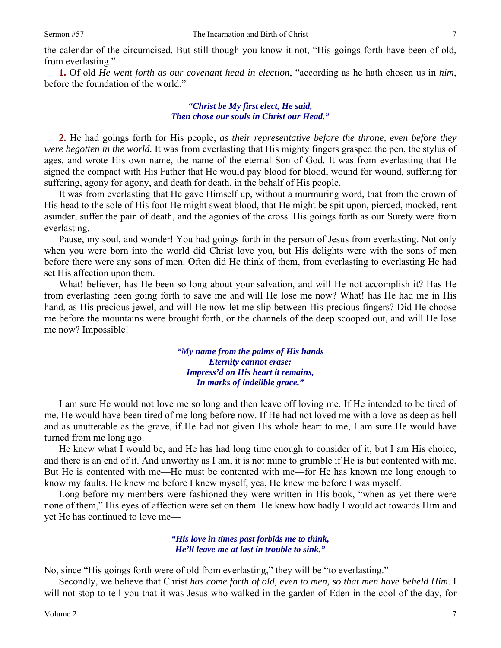the calendar of the circumcised. But still though you know it not, "His goings forth have been of old, from everlasting."

**1.** Of old *He went forth as our covenant head in election*, "according as he hath chosen us in *him*, before the foundation of the world."

## *"Christ be My first elect, He said, Then chose our souls in Christ our Head."*

**2.** He had goings forth for His people, *as their representative before the throne, even before they were begotten in the world.* It was from everlasting that His mighty fingers grasped the pen, the stylus of ages, and wrote His own name, the name of the eternal Son of God. It was from everlasting that He signed the compact with His Father that He would pay blood for blood, wound for wound, suffering for suffering, agony for agony, and death for death, in the behalf of His people.

It was from everlasting that He gave Himself up, without a murmuring word, that from the crown of His head to the sole of His foot He might sweat blood, that He might be spit upon, pierced, mocked, rent asunder, suffer the pain of death, and the agonies of the cross. His goings forth as our Surety were from everlasting.

Pause, my soul, and wonder! You had goings forth in the person of Jesus from everlasting. Not only when you were born into the world did Christ love you, but His delights were with the sons of men before there were any sons of men. Often did He think of them, from everlasting to everlasting He had set His affection upon them.

What! believer, has He been so long about your salvation, and will He not accomplish it? Has He from everlasting been going forth to save me and will He lose me now? What! has He had me in His hand, as His precious jewel, and will He now let me slip between His precious fingers? Did He choose me before the mountains were brought forth, or the channels of the deep scooped out, and will He lose me now? Impossible!

> *"My name from the palms of His hands Eternity cannot erase; Impress'd on His heart it remains, In marks of indelible grace."*

I am sure He would not love me so long and then leave off loving me. If He intended to be tired of me, He would have been tired of me long before now. If He had not loved me with a love as deep as hell and as unutterable as the grave, if He had not given His whole heart to me, I am sure He would have turned from me long ago.

He knew what I would be, and He has had long time enough to consider of it, but I am His choice, and there is an end of it. And unworthy as I am, it is not mine to grumble if He is but contented with me. But He is contented with me—He must be contented with me—for He has known me long enough to know my faults. He knew me before I knew myself, yea, He knew me before I was myself.

Long before my members were fashioned they were written in His book, "when as yet there were none of them," His eyes of affection were set on them. He knew how badly I would act towards Him and yet He has continued to love me—

> *"His love in times past forbids me to think, He'll leave me at last in trouble to sink."*

No, since "His goings forth were of old from everlasting," they will be "to everlasting."

Secondly, we believe that Christ *has come forth of old, even to men, so that men have beheld Him*. I will not stop to tell you that it was Jesus who walked in the garden of Eden in the cool of the day, for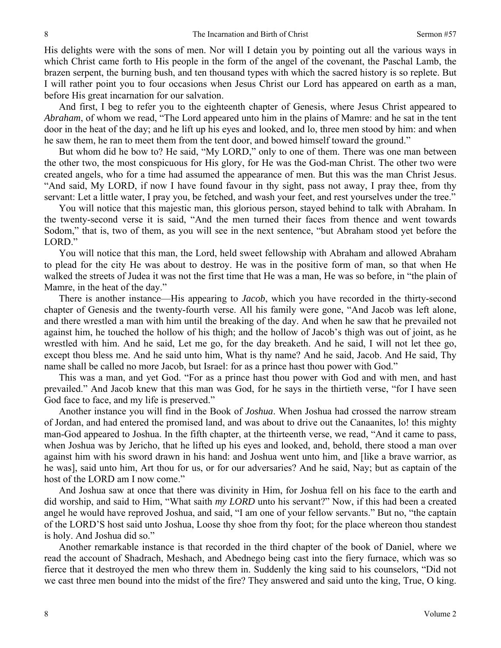His delights were with the sons of men. Nor will I detain you by pointing out all the various ways in which Christ came forth to His people in the form of the angel of the covenant, the Paschal Lamb, the brazen serpent, the burning bush, and ten thousand types with which the sacred history is so replete. But I will rather point you to four occasions when Jesus Christ our Lord has appeared on earth as a man, before His great incarnation for our salvation.

And first, I beg to refer you to the eighteenth chapter of Genesis, where Jesus Christ appeared to *Abraham*, of whom we read, "The Lord appeared unto him in the plains of Mamre: and he sat in the tent door in the heat of the day; and he lift up his eyes and looked, and lo, three men stood by him: and when he saw them, he ran to meet them from the tent door, and bowed himself toward the ground."

But whom did he bow to? He said, "My LORD," only to one of them. There was one man between the other two, the most conspicuous for His glory, for He was the God-man Christ. The other two were created angels, who for a time had assumed the appearance of men. But this was the man Christ Jesus. "And said, My LORD, if now I have found favour in thy sight, pass not away, I pray thee, from thy servant: Let a little water, I pray you, be fetched, and wash your feet, and rest yourselves under the tree."

You will notice that this majestic man, this glorious person, stayed behind to talk with Abraham. In the twenty-second verse it is said, "And the men turned their faces from thence and went towards Sodom," that is, two of them, as you will see in the next sentence, "but Abraham stood yet before the LORD."

You will notice that this man, the Lord, held sweet fellowship with Abraham and allowed Abraham to plead for the city He was about to destroy. He was in the positive form of man, so that when He walked the streets of Judea it was not the first time that He was a man, He was so before, in "the plain of Mamre, in the heat of the day."

There is another instance—His appearing to *Jacob*, which you have recorded in the thirty-second chapter of Genesis and the twenty-fourth verse. All his family were gone, "And Jacob was left alone, and there wrestled a man with him until the breaking of the day. And when he saw that he prevailed not against him, he touched the hollow of his thigh; and the hollow of Jacob's thigh was out of joint, as he wrestled with him. And he said, Let me go, for the day breaketh. And he said, I will not let thee go, except thou bless me. And he said unto him, What is thy name? And he said, Jacob. And He said, Thy name shall be called no more Jacob, but Israel: for as a prince hast thou power with God."

This was a man, and yet God. "For as a prince hast thou power with God and with men, and hast prevailed." And Jacob knew that this man was God, for he says in the thirtieth verse, "for I have seen God face to face, and my life is preserved."

Another instance you will find in the Book of *Joshua*. When Joshua had crossed the narrow stream of Jordan, and had entered the promised land, and was about to drive out the Canaanites, lo! this mighty man-God appeared to Joshua. In the fifth chapter, at the thirteenth verse, we read, "And it came to pass, when Joshua was by Jericho, that he lifted up his eyes and looked, and, behold, there stood a man over against him with his sword drawn in his hand: and Joshua went unto him, and [like a brave warrior, as he was], said unto him, Art thou for us, or for our adversaries? And he said, Nay; but as captain of the host of the LORD am I now come."

And Joshua saw at once that there was divinity in Him, for Joshua fell on his face to the earth and did worship, and said to Him, "What saith *my LORD* unto his servant?" Now, if this had been a created angel he would have reproved Joshua, and said, "I am one of your fellow servants." But no, "the captain of the LORD'S host said unto Joshua, Loose thy shoe from thy foot; for the place whereon thou standest is holy. And Joshua did so."

Another remarkable instance is that recorded in the third chapter of the book of Daniel, where we read the account of Shadrach, Meshach, and Abednego being cast into the fiery furnace, which was so fierce that it destroyed the men who threw them in. Suddenly the king said to his counselors, "Did not we cast three men bound into the midst of the fire? They answered and said unto the king, True, O king.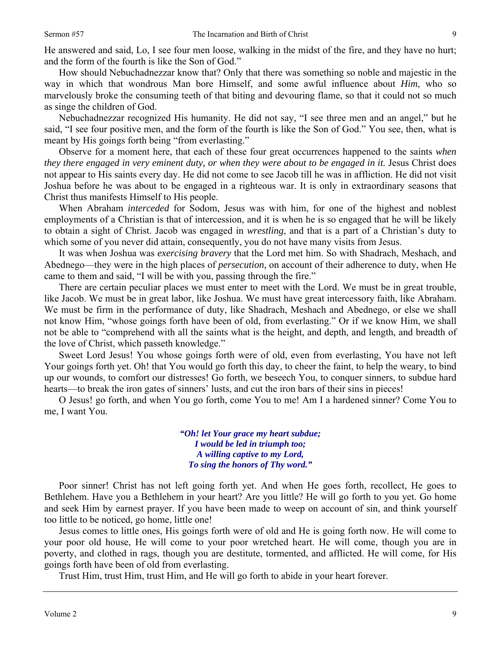He answered and said, Lo, I see four men loose, walking in the midst of the fire, and they have no hurt; and the form of the fourth is like the Son of God."

How should Nebuchadnezzar know that? Only that there was something so noble and majestic in the way in which that wondrous Man bore Himself, and some awful influence about *Him*, who so marvelously broke the consuming teeth of that biting and devouring flame, so that it could not so much as singe the children of God.

Nebuchadnezzar recognized His humanity. He did not say, "I see three men and an angel," but he said, "I see four positive men, and the form of the fourth is like the Son of God." You see, then, what is meant by His goings forth being "from everlasting."

Observe for a moment here, that each of these four great occurrences happened to the saints *when they there engaged in very eminent duty, or when they were about to be engaged in it.* Jesus Christ does not appear to His saints every day. He did not come to see Jacob till he was in affliction. He did not visit Joshua before he was about to be engaged in a righteous war. It is only in extraordinary seasons that Christ thus manifests Himself to His people.

When Abraham *interceded* for Sodom, Jesus was with him, for one of the highest and noblest employments of a Christian is that of intercession, and it is when he is so engaged that he will be likely to obtain a sight of Christ. Jacob was engaged in *wrestling*, and that is a part of a Christian's duty to which some of you never did attain, consequently, you do not have many visits from Jesus.

It was when Joshua was *exercising bravery* that the Lord met him. So with Shadrach, Meshach, and Abednego—they were in the high places of *persecution,* on account of their adherence to duty, when He came to them and said, "I will be with you, passing through the fire."

There are certain peculiar places we must enter to meet with the Lord. We must be in great trouble, like Jacob. We must be in great labor, like Joshua. We must have great intercessory faith, like Abraham. We must be firm in the performance of duty, like Shadrach, Meshach and Abednego, or else we shall not know Him, "whose goings forth have been of old, from everlasting." Or if we know Him, we shall not be able to "comprehend with all the saints what is the height, and depth, and length, and breadth of the love of Christ, which passeth knowledge."

Sweet Lord Jesus! You whose goings forth were of old, even from everlasting, You have not left Your goings forth yet. Oh! that You would go forth this day, to cheer the faint, to help the weary, to bind up our wounds, to comfort our distresses! Go forth, we beseech You, to conquer sinners, to subdue hard hearts—to break the iron gates of sinners' lusts, and cut the iron bars of their sins in pieces!

O Jesus! go forth, and when You go forth, come You to me! Am I a hardened sinner? Come You to me, I want You.

> *"Oh! let Your grace my heart subdue; I would be led in triumph too; A willing captive to my Lord, To sing the honors of Thy word."*

Poor sinner! Christ has not left going forth yet. And when He goes forth, recollect, He goes to Bethlehem. Have you a Bethlehem in your heart? Are you little? He will go forth to you yet. Go home and seek Him by earnest prayer. If you have been made to weep on account of sin, and think yourself too little to be noticed, go home, little one!

Jesus comes to little ones, His goings forth were of old and He is going forth now. He will come to your poor old house, He will come to your poor wretched heart. He will come, though you are in poverty, and clothed in rags, though you are destitute, tormented, and afflicted. He will come, for His goings forth have been of old from everlasting.

Trust Him, trust Him, trust Him, and He will go forth to abide in your heart forever.